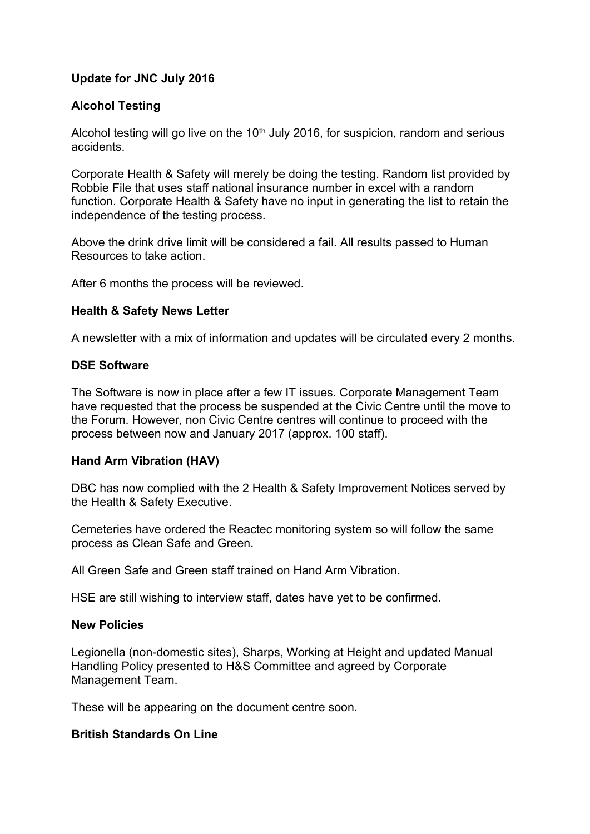# **Update for JNC July 2016**

## **Alcohol Testing**

Alcohol testing will go live on the  $10<sup>th</sup>$  July 2016, for suspicion, random and serious accidents.

Corporate Health & Safety will merely be doing the testing. Random list provided by Robbie File that uses staff national insurance number in excel with a random function. Corporate Health & Safety have no input in generating the list to retain the independence of the testing process.

Above the drink drive limit will be considered a fail. All results passed to Human Resources to take action.

After 6 months the process will be reviewed.

#### **Health & Safety News Letter**

A newsletter with a mix of information and updates will be circulated every 2 months.

#### **DSE Software**

The Software is now in place after a few IT issues. Corporate Management Team have requested that the process be suspended at the Civic Centre until the move to the Forum. However, non Civic Centre centres will continue to proceed with the process between now and January 2017 (approx. 100 staff).

### **Hand Arm Vibration (HAV)**

DBC has now complied with the 2 Health & Safety Improvement Notices served by the Health & Safety Executive.

Cemeteries have ordered the Reactec monitoring system so will follow the same process as Clean Safe and Green.

All Green Safe and Green staff trained on Hand Arm Vibration.

HSE are still wishing to interview staff, dates have yet to be confirmed.

### **New Policies**

Legionella (non-domestic sites), Sharps, Working at Height and updated Manual Handling Policy presented to H&S Committee and agreed by Corporate Management Team.

These will be appearing on the document centre soon.

### **British Standards On Line**